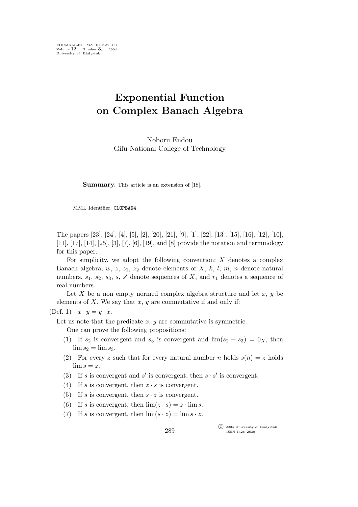## **Exponential Function on Complex Banach Algebra**

Noboru Endou Gifu National College of Technology

**Summary.** This article is an extension of [18].

MML Identifier: CLOPBAN4.

The papers [23], [24], [4], [5], [2], [20], [21], [9], [1], [22], [13], [15], [16], [12], [10], [11], [17], [14], [25], [3], [7], [6], [19], and [8] provide the notation and terminology for this paper.

For simplicity, we adopt the following convention:  $X$  denotes a complex Banach algebra, w, z,  $z_1$ ,  $z_2$  denote elements of X, k, l, m, n denote natural numbers,  $s_1$ ,  $s_2$ ,  $s_3$ ,  $s$ ,  $s'$  denote sequences of  $X$ , and  $r_1$  denotes a sequence of real numbers.

Let X be a non empty normed complex algebra structure and let  $x, y$  be elements of  $X$ . We say that  $x, y$  are commutative if and only if:

(Def. 1)  $x \cdot y = y \cdot x$ .

Let us note that the predicate  $x, y$  are commutative is symmetric.

One can prove the following propositions:

- (1) If  $s_2$  is convergent and  $s_3$  is convergent and  $\lim(s_2 s_3) = 0_X$ , then  $\lim s_2 = \lim s_3.$
- (2) For every z such that for every natural number n holds  $s(n) = z$  holds  $\lim s = z.$
- (3) If s is convergent and s' is convergent, then  $s \cdot s'$  is convergent.
- (4) If s is convergent, then  $z \cdot s$  is convergent.
- (5) If s is convergent, then  $s \cdot z$  is convergent.
- (6) If s is convergent, then  $\lim(z \cdot s) = z \cdot \lim s$ .
- (7) If s is convergent, then  $\lim(s \cdot z) = \lim s \cdot z$ .

°c 2004 University of Białystok ISSN 1426–2630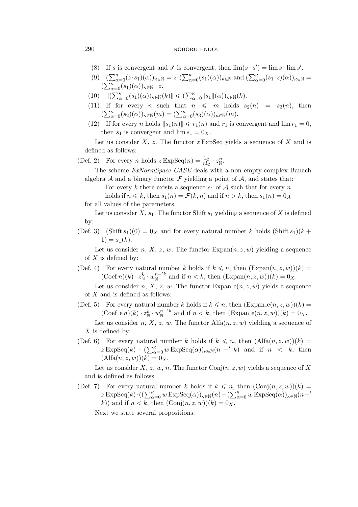## 290 NOBORU ENDOU

- (8) If s is convergent and s' is convergent, then  $\lim(s \cdot s') = \lim s \cdot \lim s'$ .
- (9)  $(\sum_{\alpha=0}^{\kappa} (z \cdot s_1)(\alpha))_{\kappa \in \mathbb{N}} = z \cdot (\sum_{\alpha=0}^{\kappa} (s_1)(\alpha))_{\kappa \in \mathbb{N}}$  and  $(\sum_{\alpha=0}^{\kappa} (s_1 \cdot z)(\alpha))_{\kappa \in \mathbb{N}} =$  $(\sum_{\alpha=0}^{\kappa} (s_1)(\alpha))_{\kappa \in \mathbb{N}} \cdot z.$
- $(10)$   $\|(\sum_{\alpha=0}^{\kappa}(s_1)(\alpha))_{\kappa\in\mathbb{N}}(k)\| \leq (\sum_{\alpha=0}^{\kappa}||s_1||(\alpha))_{\kappa\in\mathbb{N}}(k).$
- (11) If for every *n* such that  $n \leq m$  holds  $s_2(n) = s_3(n)$ , then  $\left(\sum_{\alpha=0}^{\kappa}(s_2)(\alpha)\right)_{\kappa\in\mathbb{N}}(m) = \left(\sum_{\alpha=0}^{\kappa}(s_3)(\alpha)\right)_{\kappa\in\mathbb{N}}(m).$
- (12) If for every *n* holds  $||s_1(n)|| \le r_1(n)$  and  $r_1$  is convergent and  $\lim r_1 = 0$ , then  $s_1$  is convergent and  $\lim s_1 = 0_X$ .

Let us consider X, z. The functor  $z \to \text{ExpSeq}$  yields a sequence of X and is defined as follows:

(Def. 2) For every *n* holds  $z \, \text{ExpSeq}(n) = \frac{1_C}{n!_C} \cdot z_N^n$ .

The scheme *ExNormSpace CASE* deals with a non empty complex Banach algebra *A* and a binary functor  $\mathcal F$  yielding a point of  $\mathcal A$ , and states that:

For every k there exists a sequence  $s_1$  of A such that for every n

holds if  $n \leq k$ , then  $s_1(n) = \mathcal{F}(k, n)$  and if  $n > k$ , then  $s_1(n) = 0_A$ 

for all values of the parameters.

Let us consider X,  $s_1$ . The functor Shift  $s_1$  yielding a sequence of X is defined by:

(Def. 3) (Shift  $s_1(0) = 0_X$  and for every natural number k holds (Shift  $s_1(k +$  $1) = s_1(k).$ 

Let us consider n, X, z, w. The functor  $\text{Expan}(n, z, w)$  yielding a sequence of  $X$  is defined by:

(Def. 4) For every natural number k holds if  $k \leq n$ , then  $(\text{Expan}(n, z, w))(k) =$  $(\text{Coeff } n)(k) \cdot z_{\mathbb{N}}^k \cdot w_{\mathbb{N}}^{n-k}$  and if  $n < k$ , then  $(\text{Expan}(n, z, w))(k) = 0$ .

Let us consider n, X, z, w. The functor  $Expan_e(n, z, w)$  yields a sequence of X and is defined as follows:

(Def. 5) For every natural number k holds if  $k \leq n$ , then  $(\text{Expan}_n(e, z, w))(k) =$  $(\text{Coef\_e } n)(k) \cdot z_{\mathbb{N}}^k \cdot w_{\mathbb{N}}^{n-k}$  and if  $n < k$ , then  $(\text{Expan\_e}(n, z, w))(k) = 0_X$ .

Let us consider n, X, z, w. The functor  $\text{Alfa}(n, z, w)$  yielding a sequence of  $X$  is defined by:

(Def. 6) For every natural number k holds if  $k \leq n$ , then  $(Alfa(n,z,w))(k) =$  $z \operatorname{ExpSeq}(k) \cdot (\sum_{\alpha=0}^{\kappa} w \operatorname{ExpSeq}(\alpha))_{\kappa \in \mathbb{N}} (n - k)$  and if  $n < k$ , then  $(Alfa(n,z,w))(k) = 0_X.$ 

Let us consider X, z, w, n. The functor  $Conj(n, z, w)$  yields a sequence of X and is defined as follows:

(Def. 7) For every natural number k holds if  $k \leq n$ , then  $(\text{Con}(n,z,w))(k) =$  $z \operatorname{ExpSeq}(k) \cdot ((\sum_{\alpha=0}^{\kappa} w \operatorname{ExpSeq}(\alpha))_{\kappa \in \mathbb{N}}(n) - (\sum_{\alpha=0}^{\kappa} w \operatorname{ExpSeq}(\alpha))_{\kappa \in \mathbb{N}}(n-1)$ k)) and if  $n < k$ , then  $(Conj(n, z, w))(k) = 0_X$ .

Next we state several propositions: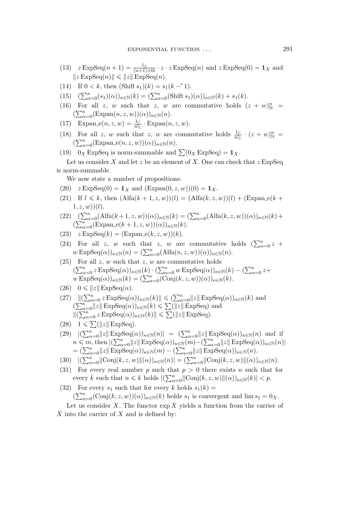- (13)  $z \operatorname{ExpSeq}(n+1) = \frac{1_{\mathbb{C}}}{(n+1)+0i} \cdot z \cdot z \operatorname{ExpSeq}(n)$  and  $z \operatorname{ExpSeq}(0) = \mathbf{1}_X$  and  $||z \operatorname{ExpSeq}(n)|| \le ||z|| \operatorname{ExpSeq}(n).$
- (14) If  $0 < k$ , then  $(\text{Shift } s_1)(k) = s_1(k 1)$ .
- (15)  $(\sum_{\alpha=0}^{\kappa} (s_1)(\alpha))_{\kappa \in \mathbb{N}}(k) = (\sum_{\alpha=0}^{\kappa} (\text{Shift } s_1)(\alpha))_{\kappa \in \mathbb{N}}(k) + s_1(k).$
- (16) For all z, w such that z, w are commutative holds  $(z + w)_{\mathbb{N}}^n =$  $(\sum_{\alpha=0}^{\kappa}(\text{Expan}(n,z,w))(\alpha))_{\kappa\in\mathbb{N}}(n).$
- (17) Expan<sub>-</sub>e(*n*, *z*, *w*) =  $\frac{1_C}{n!_C} \cdot \text{Expan}(n, z, w)$ .
- (18) For all z, w such that z, w are commutative holds  $\frac{1_C}{n!_C} \cdot (z+w)_N^n =$  $(\sum_{\alpha=0}^{\kappa}(\text{Expan}.e(n,z,w))(\alpha))_{\kappa\in\mathbb{N}}(n).$
- (19)  $0_X$  ExpSeq is norm-summable and  $\sum (0_X \text{ExpSeq}) = \mathbf{1}_X$ .

Let us consider X and let z be an element of X. One can check that  $z \, \text{ExpSeq}$ is norm-summable.

We now state a number of propositions:

- (20)  $z \text{ExpSeq}(0) = \mathbf{1}_X$  and  $(\text{Expan}(0, z, w))(0) = \mathbf{1}_X$ .
- (21) If  $l \le k$ , then  $(Alfa(k + 1, z, w))(l) = (Alfa(k, z, w))(l) + (Expan_e(k + 1, z, w))(l)$  $(1, z, w))(l).$
- (22)  $(\sum_{\alpha=0}^{\kappa} (A \text{lfa}(k+1, z, w))(\alpha))_{\kappa \in \mathbb{N}}(k) = (\sum_{\alpha=0}^{\kappa} (A \text{lfa}(k, z, w))(\alpha))_{\kappa \in \mathbb{N}}(k) +$  $\left(\sum_{\alpha=0}^{\kappa}$ (Expan<sub>-</sub>e(k + 1, z, w))( $\alpha$ ))<sub>k∈N</sub>(k).
- (23)  $z \operatorname{ExpSeq}(k) = (\operatorname{Expan}\nolimits_e(k, z, w))(k).$
- (24) For all z, w such that z, w are commutative holds  $(\sum_{\alpha=0}^{k} z +$  $w \operatorname{ExpSeq}(\alpha)$ <sub>k∈N</sub> $(n) = (\sum_{\alpha=0}^{\kappa} (\operatorname{Alfa}(n, z, w))(\alpha))_{\kappa \in \mathbb{N}}(n).$
- (25) For all  $z, w$  such that  $z, w$  are commutative holds  $(\sum_{\alpha=0}^{\kappa} z \operatorname{ExpSeq}(\alpha))_{\kappa \in \mathbb{N}} (k) \cdot (\sum_{\alpha=0}^{\kappa} w \operatorname{ExpSeq}(\alpha))_{\kappa \in \mathbb{N}} (k) - (\sum_{\alpha=0}^{\kappa} z +$  $w \text{ExpSeq}(\alpha)_{\kappa \in \mathbb{N}}(k) = (\sum_{\alpha=0}^{\kappa} (\text{Conj}(k, z, w))(\alpha))_{\kappa \in \mathbb{N}}(k).$
- $(26)$   $0 \leqslant ||z|| \operatorname{ExpSeq}(n).$
- $(27)$   $\|(\sum_{\alpha=0}^{\kappa} z \operatorname{ExpSeq}(\alpha))_{\kappa \in \mathbb{N}}(k)\| \leq (\sum_{\alpha=0}^{\kappa} \|z\| \operatorname{ExpSeq}(\alpha))_{\kappa \in \mathbb{N}}(k)$  and  $\left(\sum_{\alpha=0}^{\infty} ||z|| \operatorname{ExpSeq}(\alpha)\right)_{\kappa \in \mathbb{N}}(k) \leqslant \sum_{\alpha=0}^{\infty} (||z|| \operatorname{ExpSeq})$  and  $\|(\sum_{\alpha=0}^{\kappa} z \operatorname{ExpSeq}(\alpha))_{\kappa \in \mathbb{N}}(k)\| \leqslant \sum_{\alpha=0}^{\kappa} (\|z\| \operatorname{ExpSeq}).$
- $(28)$   $1 \leqslant \sum (\|z\| \operatorname{ExpSeq}).$
- (29)  $|(\sum_{\alpha=0}^{\kappa}||z|| \operatorname{ExpSeq}(\alpha))_{\kappa \in \mathbb{N}}(n)| = (\sum_{\alpha=0}^{\kappa}||z|| \operatorname{ExpSeq}(\alpha))_{\kappa \in \mathbb{N}}(n)$  and if  $n \leq m$ , then  $|(\sum_{\alpha=0}^{\kappa}||z|| \operatorname{ExpSeq}(\alpha))_{\kappa\in\mathbb{N}}(m) - (\sum_{\alpha=0}^{\kappa}||z|| \operatorname{ExpSeq}(\alpha))_{\kappa\in\mathbb{N}}(n)|$  $= (\sum_{\alpha=0}^{\kappa} ||z|| \operatorname{ExpSeq}(\alpha))_{\kappa \in \mathbb{N}}(m) - (\sum_{\alpha=0}^{\kappa} ||z|| \operatorname{ExpSeq}(\alpha))_{\kappa \in \mathbb{N}}(n).$
- $(30)$   $|(\sum_{\alpha=0}^{\kappa}||\text{Conj}(k, z, w)||(\alpha))_{\kappa \in \mathbb{N}}(n)| = (\sum_{\alpha=0}^{\kappa}||\text{Conj}(k, z, w)||(\alpha))_{\kappa \in \mathbb{N}}(n).$
- (31) For every real number p such that  $p > 0$  there exists n such that for every k such that  $n \leq k$  holds  $|(\sum_{\alpha=0}^{\kappa} ||\text{Conj}(k, z, w)||(\alpha))_{\kappa \in \mathbb{N}}(k)| < p$ .
- (32) For every  $s_1$  such that for every k holds  $s_1(k) =$  $(\sum_{\alpha=0}^{\kappa}(\text{Conj}(k, z, w))(\alpha))_{\kappa \in \mathbb{N}}(k)$  holds  $s_1$  is convergent and lim  $s_1 = 0_X$ .

Let us consider X. The functor  $\exp X$  yields a function from the carrier of  $X$  into the carrier of  $X$  and is defined by: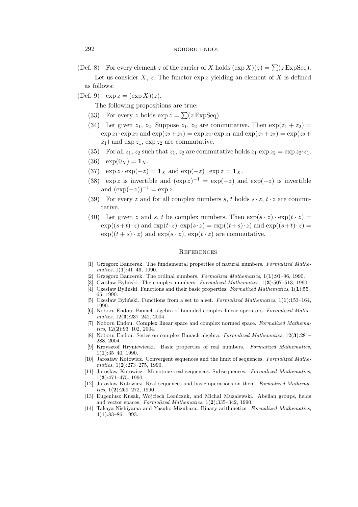- (Def. 8) For every element z of the carrier of X holds  $(\exp X)(z) = \sum (z \operatorname{ExpSeq})$ . Let us consider  $X$ , z. The functor  $\exp z$  yielding an element of X is defined as follows:
- (Def. 9)  $\exp z = (\exp X)(z)$ .

The following propositions are true:

- (33) For every z holds  $\exp z = \sum (z \operatorname{ExpSeq}).$
- (34) Let given  $z_1$ ,  $z_2$ . Suppose  $z_1$ ,  $z_2$  are commutative. Then  $\exp(z_1 + z_2) =$  $\exp z_1 \cdot \exp z_2$  and  $\exp(z_2+z_1) = \exp z_2 \cdot \exp z_1$  and  $\exp(z_1+z_2) = \exp(z_2+z_1)$  $z_1$ ) and exp  $z_1$ , exp  $z_2$  are commutative.
- (35) For all  $z_1, z_2$  such that  $z_1, z_2$  are commutative holds  $z_1 \cdot \exp z_2 = \exp z_2 \cdot z_1$ .
- $(36) \quad \exp(0_X) = \mathbf{1}_X.$
- (37)  $\exp z \cdot \exp(-z) = \mathbf{1}_X$  and  $\exp(-z) \cdot \exp z = \mathbf{1}_X$ .
- (38) exp z is invertible and  $(\exp z)^{-1} = \exp(-z)$  and  $\exp(-z)$  is invertible and  $(\exp(-z))^{-1} = \exp z$ .
- (39) For every z and for all complex numbers s, t holds  $s \cdot z$ ,  $t \cdot z$  are commutative.
- (40) Let given z and s, t be complex numbers. Then  $\exp(s \cdot z) \cdot \exp(t \cdot z) =$  $\exp((s+t)\cdot z)$  and  $\exp(t\cdot z)\cdot \exp(s\cdot z) = \exp((t+s)\cdot z)$  and  $\exp((s+t)\cdot z) =$  $\exp((t+s)\cdot z)$  and  $\exp(s\cdot z)$ ,  $\exp(t\cdot z)$  are commutative.

## **REFERENCES**

- [1] Grzegorz Bancerek. The fundamental properties of natural numbers. *Formalized Mathematics*, 1(**1**):41–46, 1990.
- [2] Grzegorz Bancerek. The ordinal numbers. *Formalized Mathematics*, 1(**1**):91–96, 1990.
- [3] Czesław Byliński. The complex numbers. *Formalized Mathematics*, 1(**3**):507–513, 1990.
- [4] Czesław Byliński. Functions and their basic properties. *Formalized Mathematics*, 1(**1**):55– 65, 1990.
- [5] Czesław Byliński. Functions from a set to a set. *Formalized Mathematics*, 1(**1**):153–164, 1990.
- [6] Noboru Endou. Banach algebra of bounded complex linear operators. *Formalized Mathematics*, 12(**3**):237–242, 2004.
- [7] Noboru Endou. Complex linear space and complex normed space. *Formalized Mathematics*, 12(**2**):93–102, 2004.
- [8] Noboru Endou. Series on complex Banach algebra. *Formalized Mathematics*, 12(**3**):281– 288, 2004.
- [9] Krzysztof Hryniewiecki. Basic properties of real numbers. *Formalized Mathematics*, 1(**1**):35–40, 1990.
- [10] Jarosław Kotowicz. Convergent sequences and the limit of sequences. *Formalized Mathematics*, 1(**2**):273–275, 1990.
- [11] Jarosław Kotowicz. Monotone real sequences. Subsequences. *Formalized Mathematics*, 1(**3**):471–475, 1990.
- [12] Jarosław Kotowicz. Real sequences and basic operations on them. *Formalized Mathematics*, 1(**2**):269–272, 1990.
- [13] Eugeniusz Kusak, Wojciech Leończuk, and Michał Muzalewski. Abelian groups, fields and vector spaces. *Formalized Mathematics*, 1(**2**):335–342, 1990.
- [14] Takaya Nishiyama and Yasuho Mizuhara. Binary arithmetics. *Formalized Mathematics*, 4(**1**):83–86, 1993.